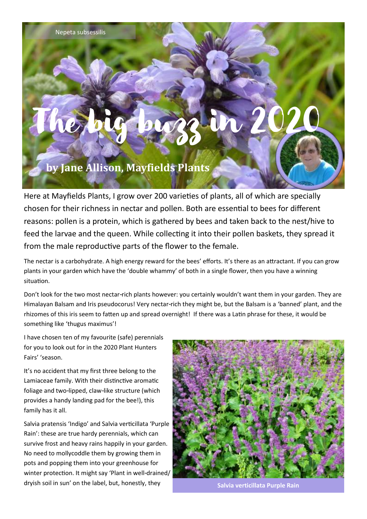## The big buzz in 2020

## **by Jane Allison, Mayfields Plants**

Here at Mayfields Plants, I grow over 200 varieties of plants, all of which are specially chosen for their richness in nectar and pollen. Both are essential to bees for different reasons: pollen is a protein, which is gathered by bees and taken back to the nest/hive to feed the larvae and the queen. While collecting it into their pollen baskets, they spread it from the male reproductive parts of the flower to the female.

The nectar is a carbohydrate. A high energy reward for the bees' efforts. It's there as an attractant. If you can grow plants in your garden which have the 'double whammy' of both in a single flower, then you have a winning situation.

Don't look for the two most nectar-rich plants however: you certainly wouldn't want them in your garden. They are Himalayan Balsam and Iris pseudocorus! Very nectar-rich they might be, but the Balsam is a 'banned' plant, and the rhizomes of this iris seem to fatten up and spread overnight! If there was a Latin phrase for these, it would be something like 'thugus maximus'!

I have chosen ten of my favourite (safe) perennials for you to look out for in the 2020 Plant Hunters Fairs' 'season.

It's no accident that my first three belong to the Lamiaceae family. With their distinctive aromatic foliage and two-lipped, claw-like structure (which provides a handy landing pad for the bee!), this family has it all.

Salvia pratensis 'Indigo' and Salvia verticillata 'Purple Rain': these are true hardy perennials, which can survive frost and heavy rains happily in your garden. No need to mollycoddle them by growing them in pots and popping them into your greenhouse for winter protection. It might say 'Plant in well-drained/ dryish soil in sun' on the label, but, honestly, they



**Salvia verticillata Purple Rain**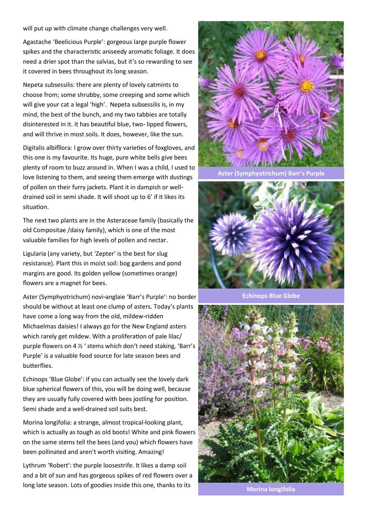will put up with climate change challenges very well.

Agastache 'Beelicious Purple': gorgeous large purple flower spikes and the characteristic aniseedy aromatic foliage. It does need a drier spot than the salvias, but it's so rewarding to see it covered in bees throughout its long season.

Nepeta subsessilis: there are plenty of lovely catmints to choose from; some shrubby, some creeping and some which will give your cat a legal 'high'. Nepeta subsessilis is, in my mind, the best of the bunch, and my two tabbies are totally disinterested in it. It has beautiful blue, two- lipped flowers, and will thrive in most soils. It does, however, like the sun.

Digitalis albifllora: I grow over thirty varieties of foxgloves, and this one is my favourite. Its huge, pure white bells give bees plenty of room to buzz around in. When I was a child, I used to love listening to them, and seeing them emerge with dustings of pollen on their furry jackets. Plant it in dampish or welldrained soil in semi shade. It will shoot up to 6' if it likes its situation.

The next two plants are in the Asteraceae family (basically the old Compositae /daisy family), which is one of the most valuable families for high levels of pollen and nectar.

Ligularia (any variety, but 'Zepter' is the best for slug resistance). Plant this in moist soil: bog gardens and pond margins are good. Its golden yellow (sometimes orange) flowers are a magnet for bees.

Aster (Symphyotrichum) novi-anglaie 'Barr's Purple': no border should be without at least one clump of asters. Today's plants have come a long way from the old, mildew-ridden Michaelmas daisies! I always go for the New England asters which rarely get mildew. With a proliferation of pale lilac/ purple flowers on 4 ½ ' stems which don't need staking, 'Barr's Purple' is a valuable food source for late season bees and butterflies.

Echinops 'Blue Globe': if you can actually see the lovely dark blue spherical flowers of this, you will be doing well, because they are usually fully covered with bees jostling for position. Semi shade and a well-drained soil suits best.

Morina longifolia: a strange, almost tropical-looking plant, which is actually as tough as old boots! White and pink flowers on the same stems tell the bees (and you) which flowers have been pollinated and aren't worth visiting. Amazing!

Lythrum 'Robert': the purple loosestrife. It likes a damp soil and a bit of sun and has gorgeous spikes of red flowers over a long late season. Lots of goodies inside this one, thanks to its



**Aster (Symphyotrichum) Barr's Purple**



**Echinops Blue Globe**



**Morina longifolia**